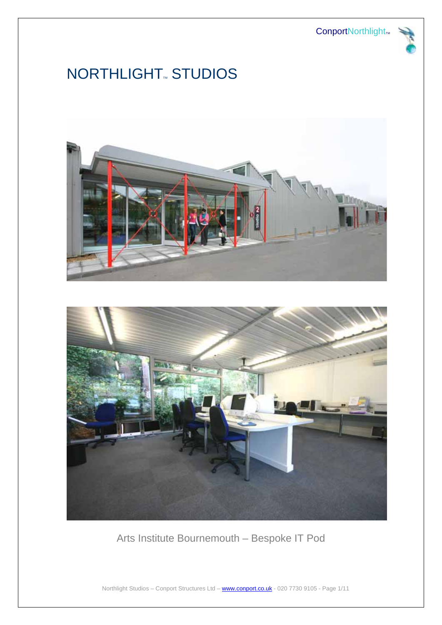ConportNorthlight<sub>™</sub>



# NORTHLIGHT<sub>®</sub> STUDIOS





Arts Institute Bournemouth – Bespoke IT Pod

Northlight Studios – Conport Structures Ltd – www.conport.co.uk - 020 7730 9105 - Page 1/11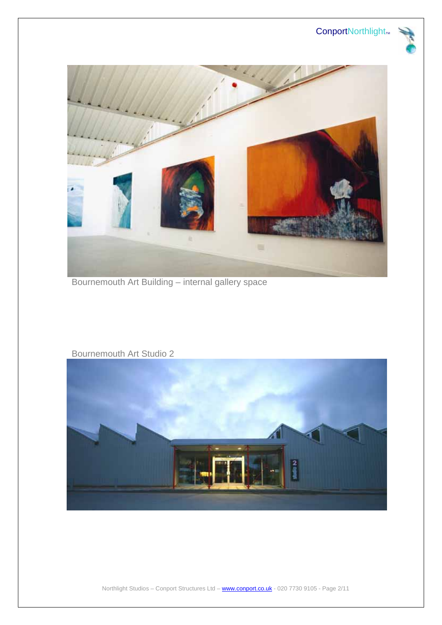# ConportNorthlight<sub>M</sub>





Bournemouth Art Building – internal gallery space



#### Bournemouth Art Studio 2

Northlight Studios – Conport Structures Ltd – www.conport.co.uk - 020 7730 9105 - Page 2/11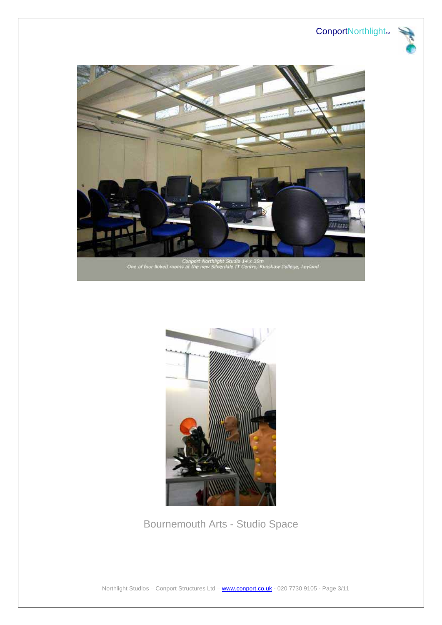







Bournemouth Arts - Studio Space

Northlight Studios – Conport Structures Ltd – www.conport.co.uk - 020 7730 9105 - Page 3/11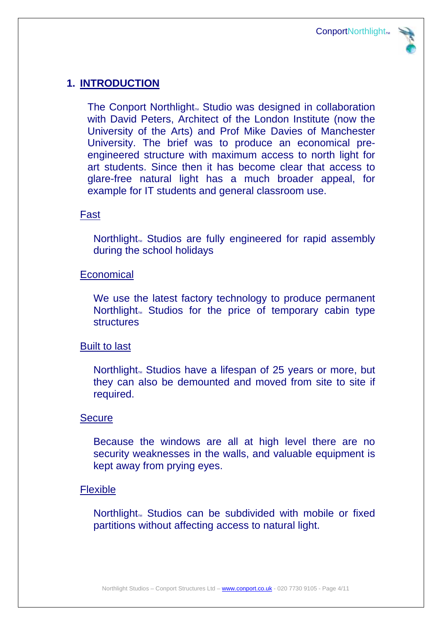

# **1. INTRODUCTION**

The Conport Northlight<sub>m</sub> Studio was designed in collaboration with David Peters, Architect of the London Institute (now the University of the Arts) and Prof Mike Davies of Manchester University. The brief was to produce an economical preengineered structure with maximum access to north light for art students. Since then it has become clear that access to glare-free natural light has a much broader appeal, for example for IT students and general classroom use.

## Fast

Northlight<sub>M</sub> Studios are fully engineered for rapid assembly during the school holidays

### Economical

We use the latest factory technology to produce permanent Northlight<sub>M</sub> Studios for the price of temporary cabin type **structures** 

### Built to last

Northlight<sub>M</sub> Studios have a lifespan of 25 years or more, but they can also be demounted and moved from site to site if required.

### Secure

Because the windows are all at high level there are no security weaknesses in the walls, and valuable equipment is kept away from prying eyes.

### Flexible

Northlight<sub>M</sub> Studios can be subdivided with mobile or fixed partitions without affecting access to natural light.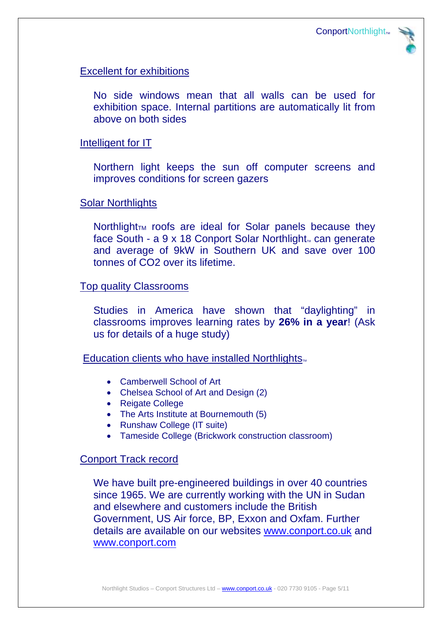

## Excellent for exhibitions

No side windows mean that all walls can be used for exhibition space. Internal partitions are automatically lit from above on both sides

#### Intelligent for IT

Northern light keeps the sun off computer screens and improves conditions for screen gazers

#### Solar Northlights

Northlight<sub>TM</sub> roofs are ideal for Solar panels because they face South - a  $9 \times 18$  Conport Solar Northlight<sub>w</sub> can generate and average of 9kW in Southern UK and save over 100 tonnes of CO2 over its lifetime.

#### Top quality Classrooms

Studies in America have shown that "daylighting" in classrooms improves learning rates by **26% in a year**! (Ask us for details of a huge study)

Education clients who have installed Northlights.

- Camberwell School of Art
- Chelsea School of Art and Design (2)
- Reigate College
- The Arts Institute at Bournemouth (5)
- Runshaw College (IT suite)
- Tameside College (Brickwork construction classroom)

#### Conport Track record

We have built pre-engineered buildings in over 40 countries since 1965. We are currently working with the UN in Sudan and elsewhere and customers include the British Government, US Air force, BP, Exxon and Oxfam. Further details are available on our websites www.conport.co.uk and www.conport.com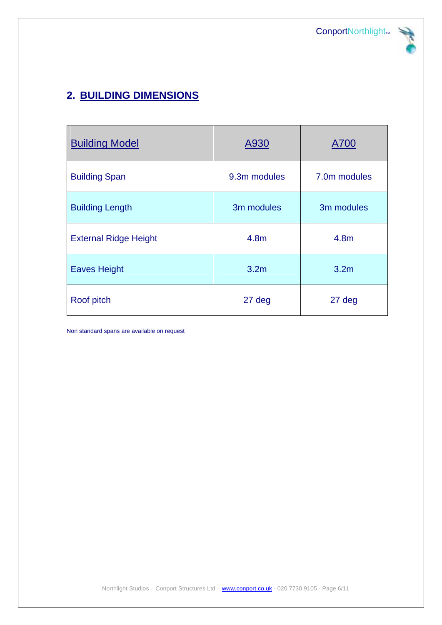

# **2. BUILDING DIMENSIONS**

| <b>Building Model</b>        | A930             | A700             |
|------------------------------|------------------|------------------|
| <b>Building Span</b>         | 9.3m modules     | 7.0m modules     |
| <b>Building Length</b>       | 3m modules       | 3m modules       |
| <b>External Ridge Height</b> | 4.8 <sub>m</sub> | 4.8 <sub>m</sub> |
| <b>Eaves Height</b>          | 3.2 <sub>m</sub> | 3.2 <sub>m</sub> |
| Roof pitch                   | 27 deg           | 27 deg           |

Non standard spans are available on request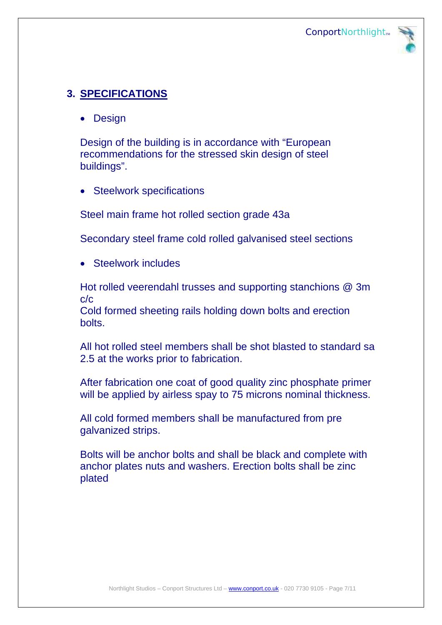

# **3. SPECIFICATIONS**

• Design

Design of the building is in accordance with "European recommendations for the stressed skin design of steel buildings".

• Steelwork specifications

Steel main frame hot rolled section grade 43a

Secondary steel frame cold rolled galvanised steel sections

• Steelwork includes

Hot rolled veerendahl trusses and supporting stanchions @ 3m c/c

Cold formed sheeting rails holding down bolts and erection bolts.

All hot rolled steel members shall be shot blasted to standard sa 2.5 at the works prior to fabrication.

After fabrication one coat of good quality zinc phosphate primer will be applied by airless spay to 75 microns nominal thickness.

All cold formed members shall be manufactured from pre galvanized strips.

Bolts will be anchor bolts and shall be black and complete with anchor plates nuts and washers. Erection bolts shall be zinc plated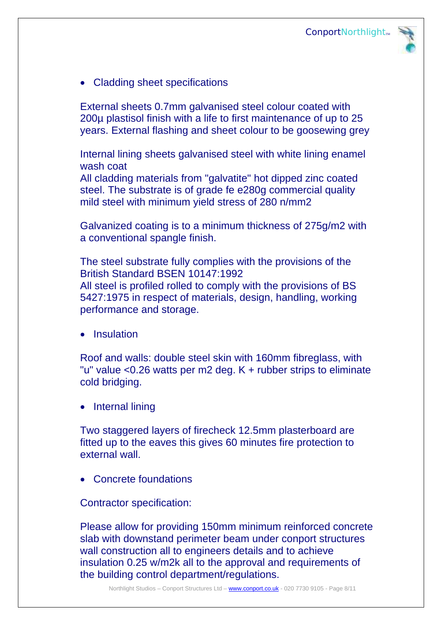

• Cladding sheet specifications

External sheets 0.7mm galvanised steel colour coated with 200µ plastisol finish with a life to first maintenance of up to 25 years. External flashing and sheet colour to be goosewing grey

Internal lining sheets galvanised steel with white lining enamel wash coat

All cladding materials from "galvatite" hot dipped zinc coated steel. The substrate is of grade fe e280g commercial quality mild steel with minimum yield stress of 280 n/mm2

Galvanized coating is to a minimum thickness of 275g/m2 with a conventional spangle finish.

The steel substrate fully complies with the provisions of the British Standard BSEN 10147:1992 All steel is profiled rolled to comply with the provisions of BS 5427:1975 in respect of materials, design, handling, working performance and storage.

**Insulation** 

Roof and walls: double steel skin with 160mm fibreglass, with "u" value <0.26 watts per m2 deg. K + rubber strips to eliminate cold bridging.

• Internal lining

Two staggered layers of firecheck 12.5mm plasterboard are fitted up to the eaves this gives 60 minutes fire protection to external wall.

• Concrete foundations

Contractor specification:

Please allow for providing 150mm minimum reinforced concrete slab with downstand perimeter beam under conport structures wall construction all to engineers details and to achieve insulation 0.25 w/m2k all to the approval and requirements of the building control department/regulations.

Northlight Studios – Conport Structures Ltd – www.conport.co.uk - 020 7730 9105 - Page 8/11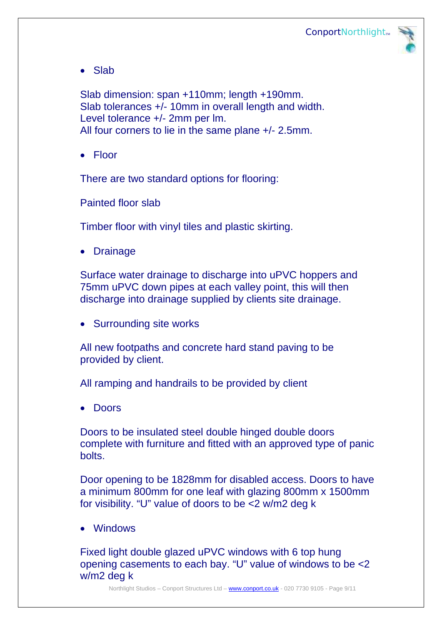

• Slab

Slab dimension: span +110mm; length +190mm. Slab tolerances +/- 10mm in overall length and width. Level tolerance +/- 2mm per lm. All four corners to lie in the same plane +/- 2.5mm.

• Floor

There are two standard options for flooring:

Painted floor slab

Timber floor with vinyl tiles and plastic skirting.

• Drainage

Surface water drainage to discharge into uPVC hoppers and 75mm uPVC down pipes at each valley point, this will then discharge into drainage supplied by clients site drainage.

• Surrounding site works

All new footpaths and concrete hard stand paving to be provided by client.

All ramping and handrails to be provided by client

• Doors

Doors to be insulated steel double hinged double doors complete with furniture and fitted with an approved type of panic bolts.

Door opening to be 1828mm for disabled access. Doors to have a minimum 800mm for one leaf with glazing 800mm x 1500mm for visibility. "U" value of doors to be <2 w/m2 deg k

• Windows

Fixed light double glazed uPVC windows with 6 top hung opening casements to each bay. "U" value of windows to be <2 w/m2 deg k

Northlight Studios – Conport Structures Ltd – www.conport.co.uk - 020 7730 9105 - Page 9/11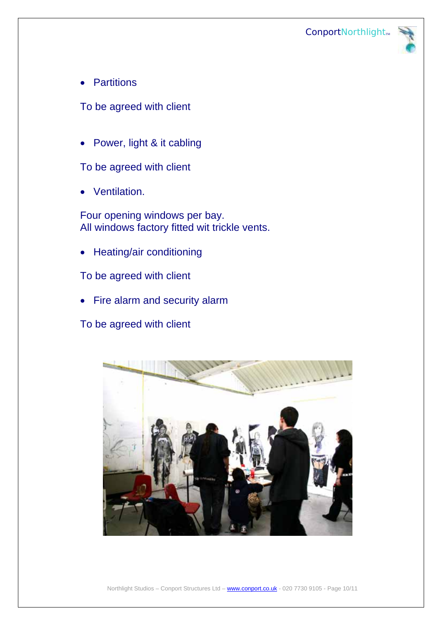

• Partitions

To be agreed with client

• Power, light & it cabling

To be agreed with client

• Ventilation.

Four opening windows per bay. All windows factory fitted wit trickle vents.

• Heating/air conditioning

To be agreed with client

• Fire alarm and security alarm

To be agreed with client